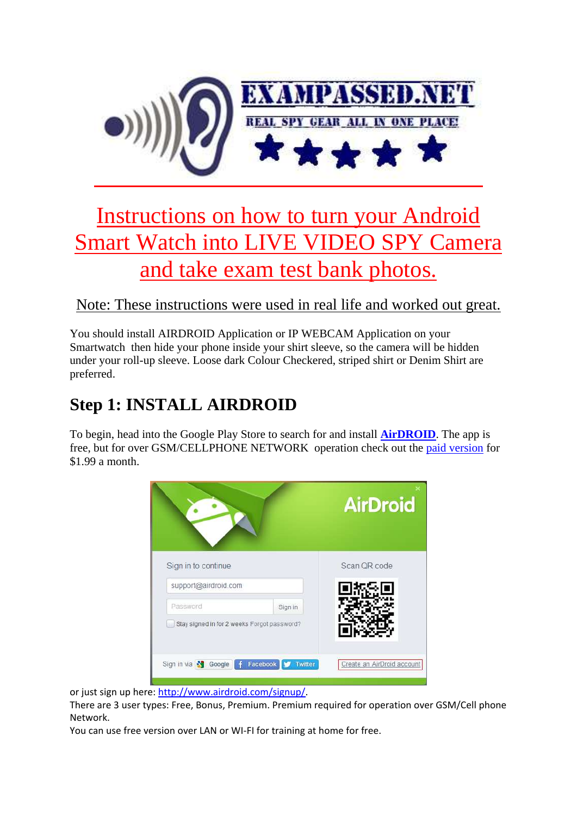

# Instructions on how to turn your Android Smart Watch into LIVE VIDEO SPY Camera and take exam test bank photos.

Note: These instructions were used in real life and worked out great.

You should install AIRDROID Application or IP WEBCAM Application on your Smartwatch then hide your phone inside your shirt sleeve, so the camera will be hidden under your roll-up sleeve. Loose dark Colour Checkered, striped shirt or Denim Shirt are preferred.

### **Step 1: INSTALL AIRDROID**

To begin, head into the Google Play Store to search for and install **AirDROID**. The app is free, but for over GSM/CELLPHONE NETWORK operation check out the [paid version](https://play.google.com/store/apps/details?id=com.gkproggy.recam) for \$1.99 a month.



or just sign up here: [http://www.airdroid.com/signup/.](http://www.airdroid.com/signup/)

There are 3 user types: Free, Bonus, Premium. Premium required for operation over GSM/Cell phone Network.

You can use free version over LAN or WI-FI for training at home for free.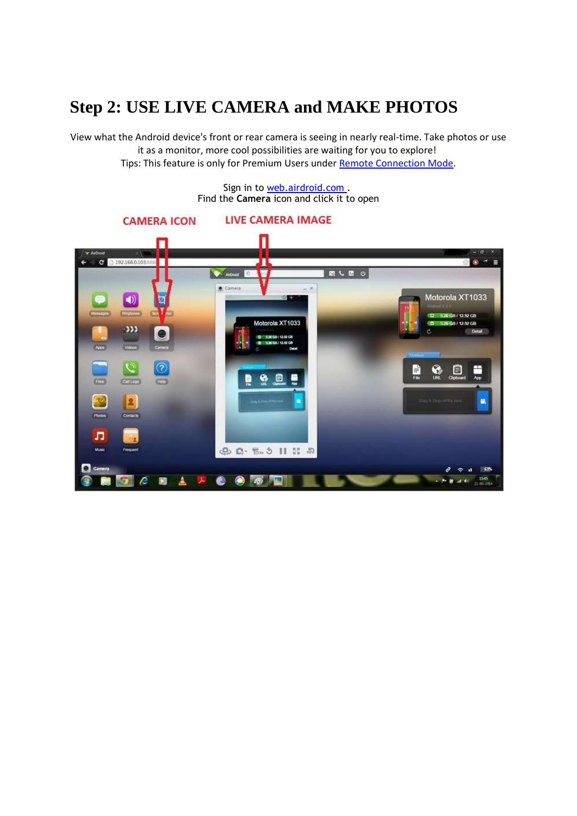### **Step 2: USE LIVE CAMERA and MAKE PHOTOS**

View what the Android device's front or rear camera is seeing in nearly real-time. Take photos or use it as a monitor, more cool possibilities are waiting for you to explore! Tips: This feature is only for Premium Users under [Remote Connection Mode.](http://help.airdroid.com/customer/portal/articles/1296171)

> Sign in to **[web.airdroid.com](http://web.airdroid.com/)**. Find the **Camera** icon and click it to open

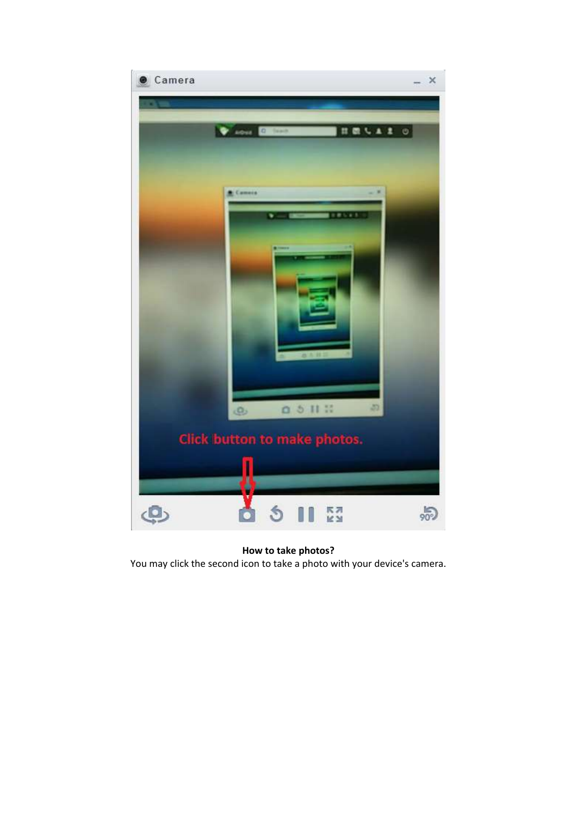

**How to take photos?** You may click the second icon to take a photo with your device's camera.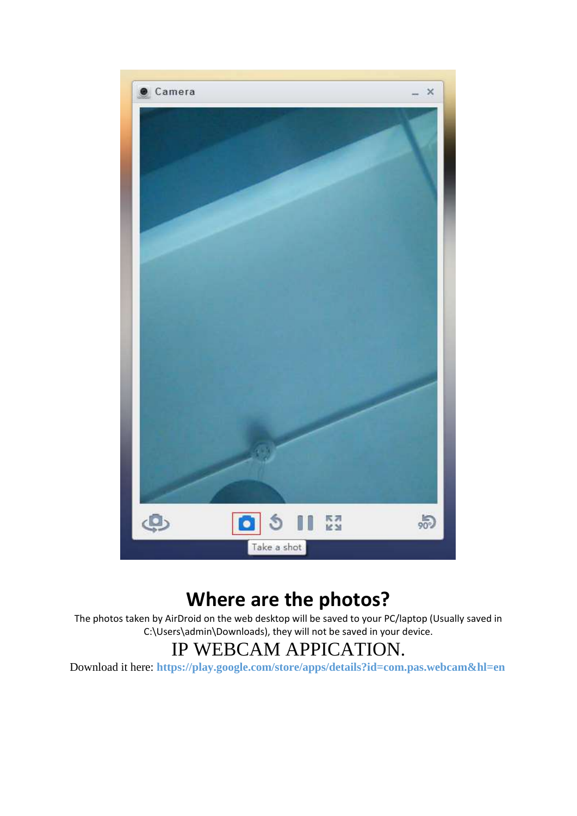

# **Where are the photos?**

The photos taken by AirDroid on the web desktop will be saved to your PC/laptop (Usually saved in C:\Users\admin\Downloads), they will not be saved in your device.

## IP WEBCAM APPICATION.

Download it here: **https://play.google.com/store/apps/details?id=com.pas.webcam&hl=en**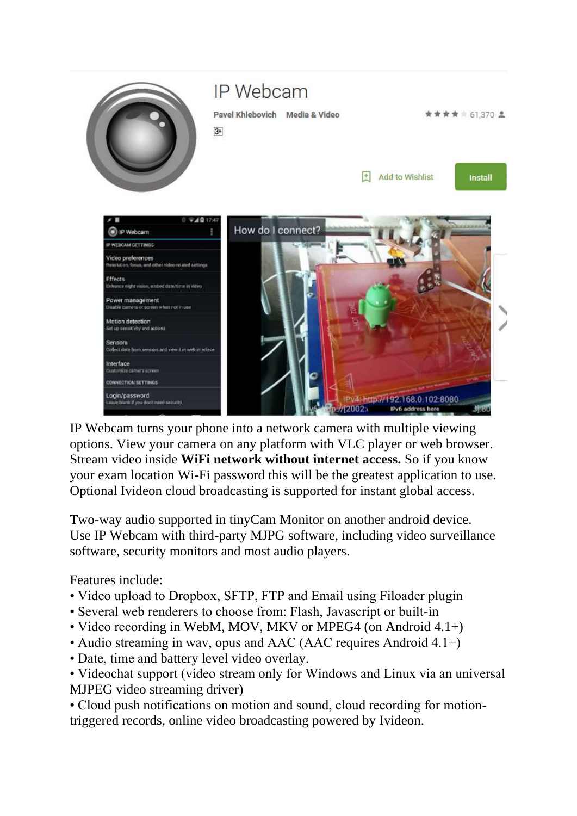

IP Webcam turns your phone into a network camera with multiple viewing options. View your camera on any platform with VLC player or web browser. Stream video inside **WiFi network without internet access.** So if you know your exam location Wi-Fi password this will be the greatest application to use. Optional Ivideon cloud broadcasting is supported for instant global access.

Two-way audio supported in tinyCam Monitor on another android device. Use IP Webcam with third-party MJPG software, including video surveillance software, security monitors and most audio players.

Features include:

- Video upload to Dropbox, SFTP, FTP and Email using Filoader plugin
- Several web renderers to choose from: Flash, Javascript or built-in
- Video recording in WebM, MOV, MKV or MPEG4 (on Android 4.1+)
- Audio streaming in wav, opus and AAC (AAC requires Android 4.1+)
- Date, time and battery level video overlay.

• Videochat support (video stream only for Windows and Linux via an universal MJPEG video streaming driver)

• Cloud push notifications on motion and sound, cloud recording for motiontriggered records, online video broadcasting powered by Ivideon.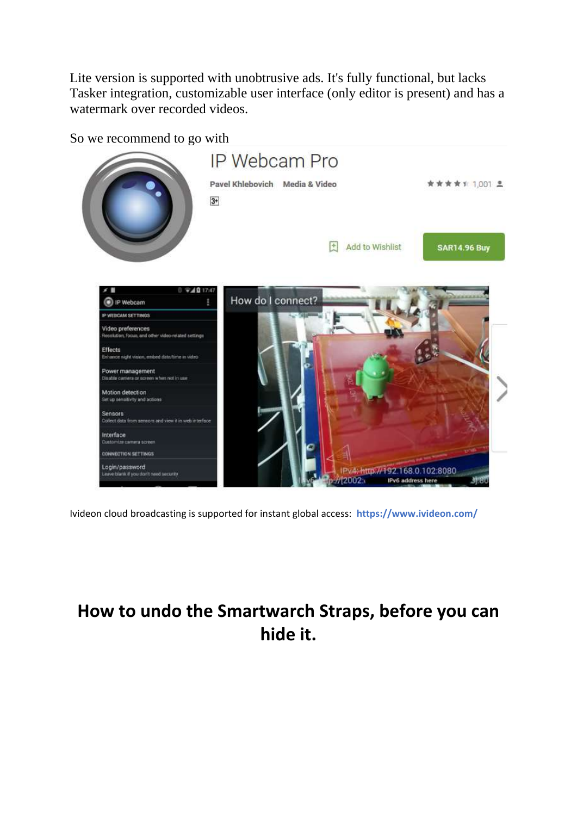Lite version is supported with unobtrusive ads. It's fully functional, but lacks Tasker integration, customizable user interface (only editor is present) and has a watermark over recorded videos.

So we recommend to go with



Ivideon cloud broadcasting is supported for instant global access: **https://www.ivideon.com/**

## **How to undo the Smartwarch Straps, before you can hide it.**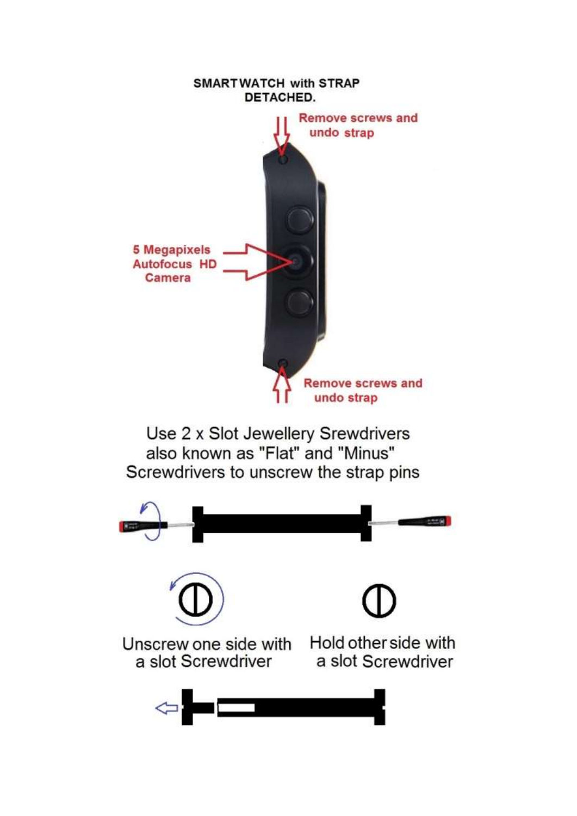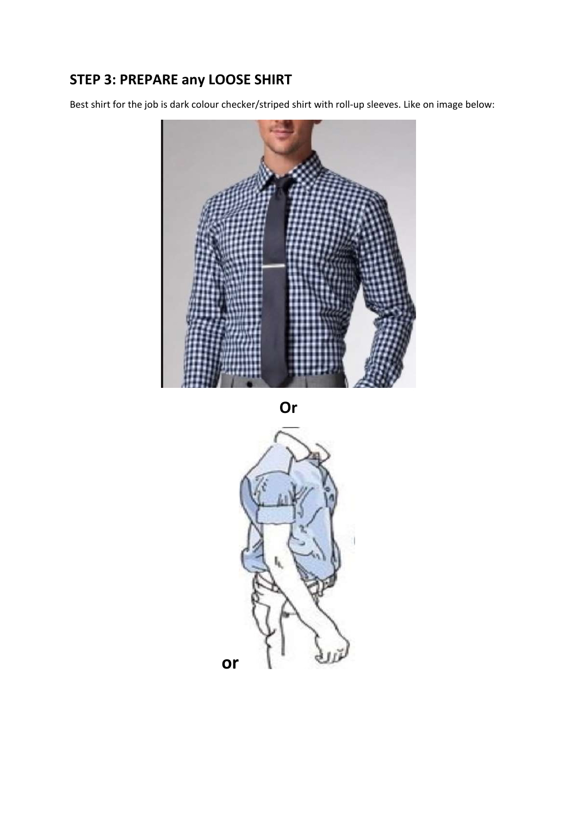### **STEP 3: PREPARE any LOOSE SHIRT**

Best shirt for the job is dark colour checker/striped shirt with roll-up sleeves. Like on image below:





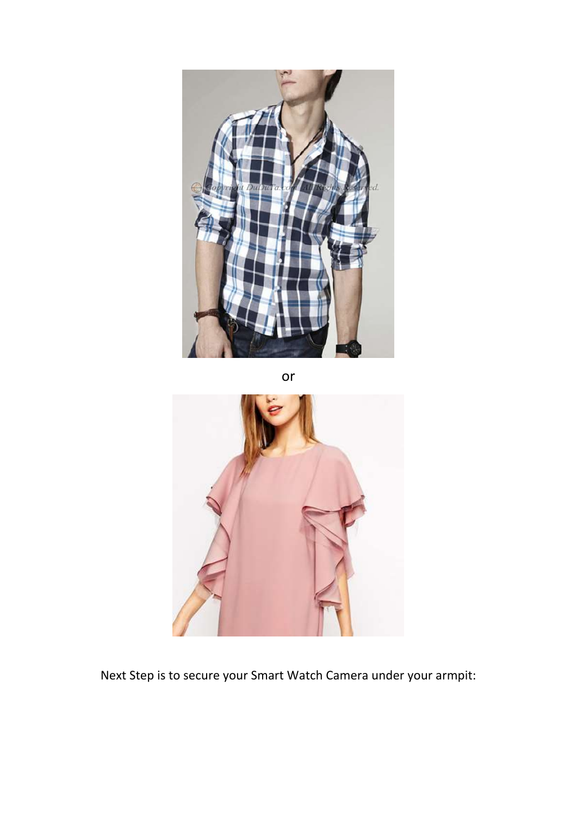

```
or
```


Next Step is to secure your Smart Watch Camera under your armpit: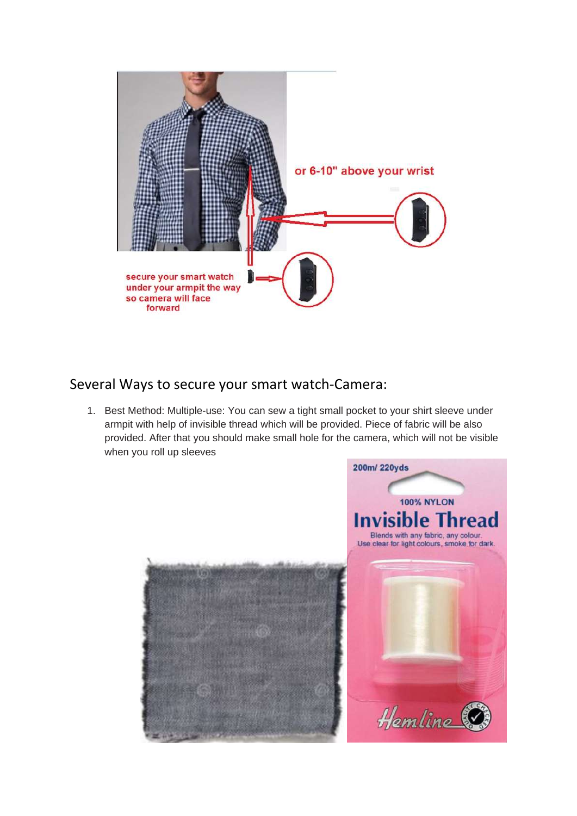

### Several Ways to secure your smart watch-Camera:

1. Best Method: Multiple-use: You can sew a tight small pocket to your shirt sleeve under armpit with help of invisible thread which will be provided. Piece of fabric will be also provided. After that you should make small hole for the camera, which will not be visible when you roll up sleeves

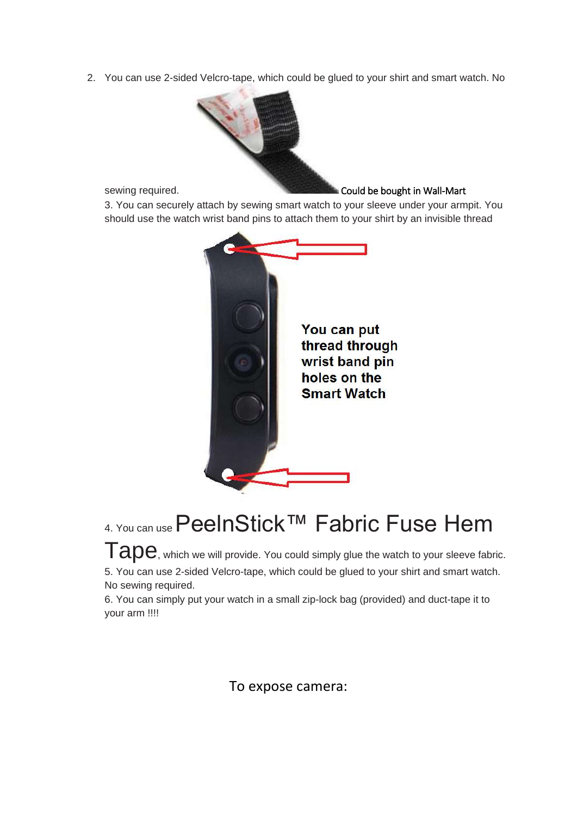2. You can use 2-sided Velcro-tape, which could be glued to your shirt and smart watch. No



3. You can securely attach by sewing smart watch to your sleeve under your armpit. You should use the watch wrist band pins to attach them to your shirt by an invisible thread



# 4. You can use PeelnStick™ Fabric Fuse Hem

 $T$ ape, which we will provide. You could simply glue the watch to your sleeve fabric. 5. You can use 2-sided Velcro-tape, which could be glued to your shirt and smart watch. No sewing required.

6. You can simply put your watch in a small zip-lock bag (provided) and duct-tape it to your arm !!!!

To expose camera: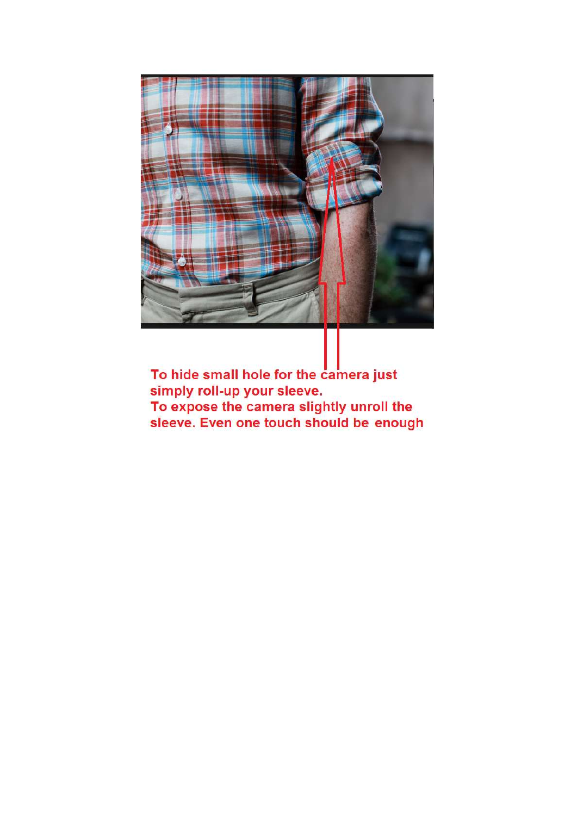

To hide small hole for the camera just simply roll-up your sleeve.<br>To expose the camera slightly unroll the<br>sleeve. Even one touch should be enough